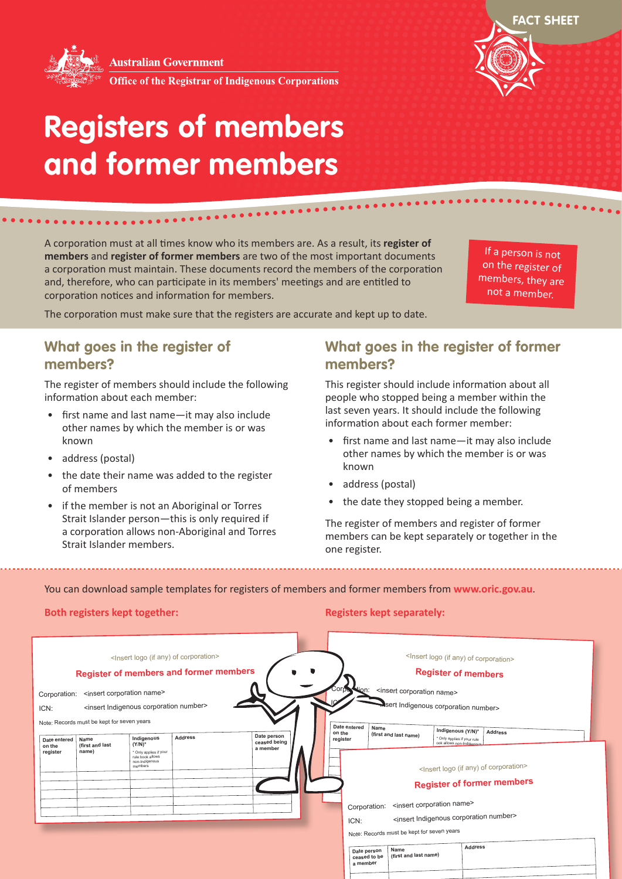**Australian Government** 



**Office of the Registrar of Indigenous Corporations** 



# **Registers of members and former members**

\*\*\*\*\*\*\*\*\*\*\*\*\*\*\*\*\*\*\*\*\*\*\*\*\*

A corporation must at all times know who its members are. As a result, its **register of members** and **register of former members** are two of the most important documents a corporation must maintain. These documents record the members of the corporation and, therefore, who can participate in its members' meetings and are entitled to corporation notices and information for members.

If a person is not on the register of members, they are not a member.

The corporation must make sure that the registers are accurate and kept up to date.

#### **What goes in the register of members?**

The register of members should include the following information about each member:

- first name and last name—it may also include other names by which the member is or was known
- address (postal)
- the date their name was added to the register of members
- if the member is not an Aboriginal or Torres Strait Islander person—this is only required if a corporation allows non-Aboriginal and Torres Strait Islander members.

#### **What goes in the register of former members?**

This register should include information about all people who stopped being a member within the last seven years. It should include the following information about each former member:

- first name and last name—it may also include other names by which the member is or was known
- address (postal)
- the date they stopped being a member.

The register of members and register of former members can be kept separately or together in the one register.

You can download sample templates for registers of members and former members from **www.oric.gov.au**.

#### **Both registers kept together: Registers kept separately: Registers kept separately:**